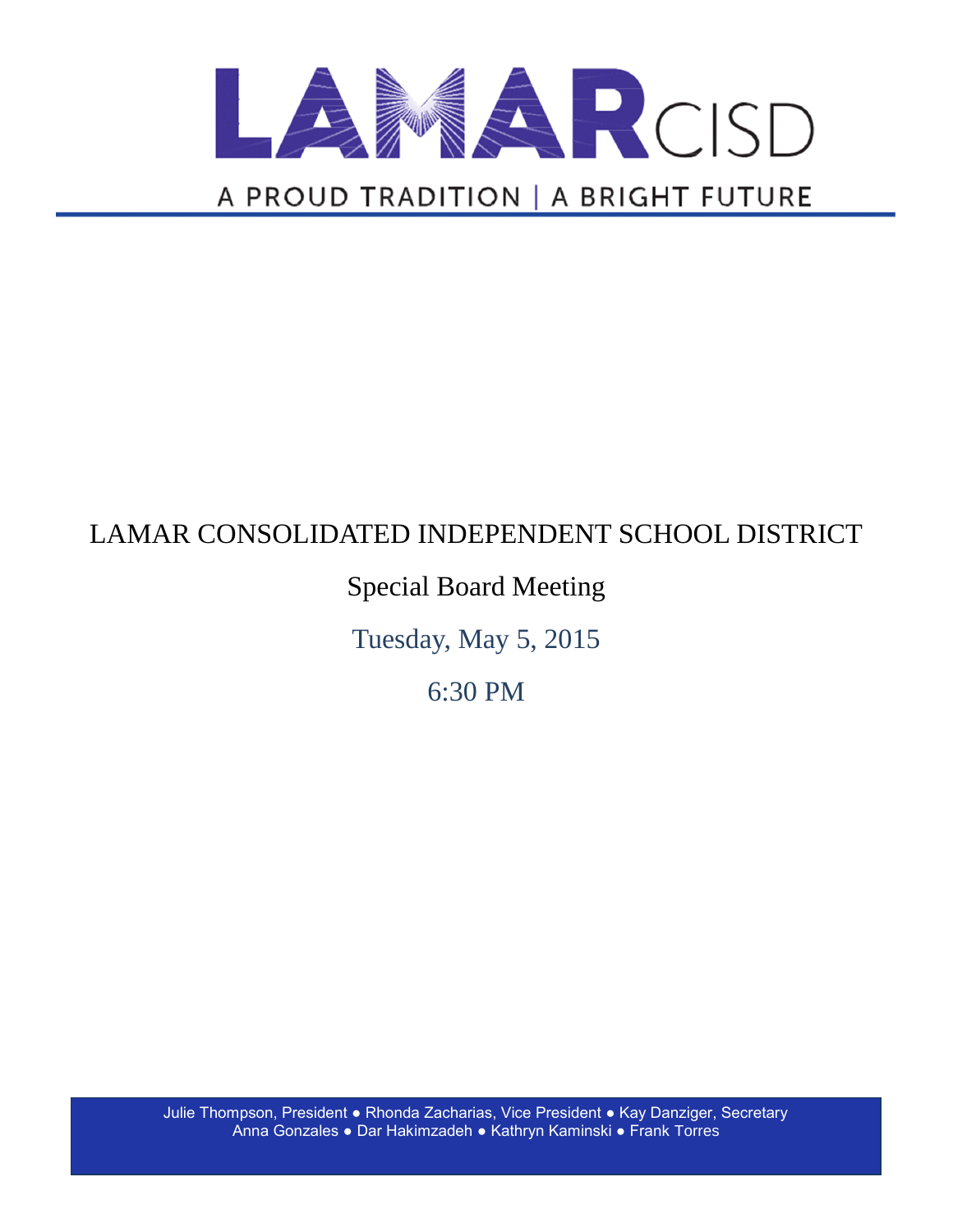

# LAMAR CONSOLIDATED INDEPENDENT SCHOOL DISTRICT

## Special Board Meeting

Tuesday, May 5, 2015

6:30 PM

Julie Thompson, President ● Rhonda Zacharias, Vice President ● Kay Danziger, Secretary Anna Gonzales ● Dar Hakimzadeh ● Kathryn Kaminski ● Frank Torres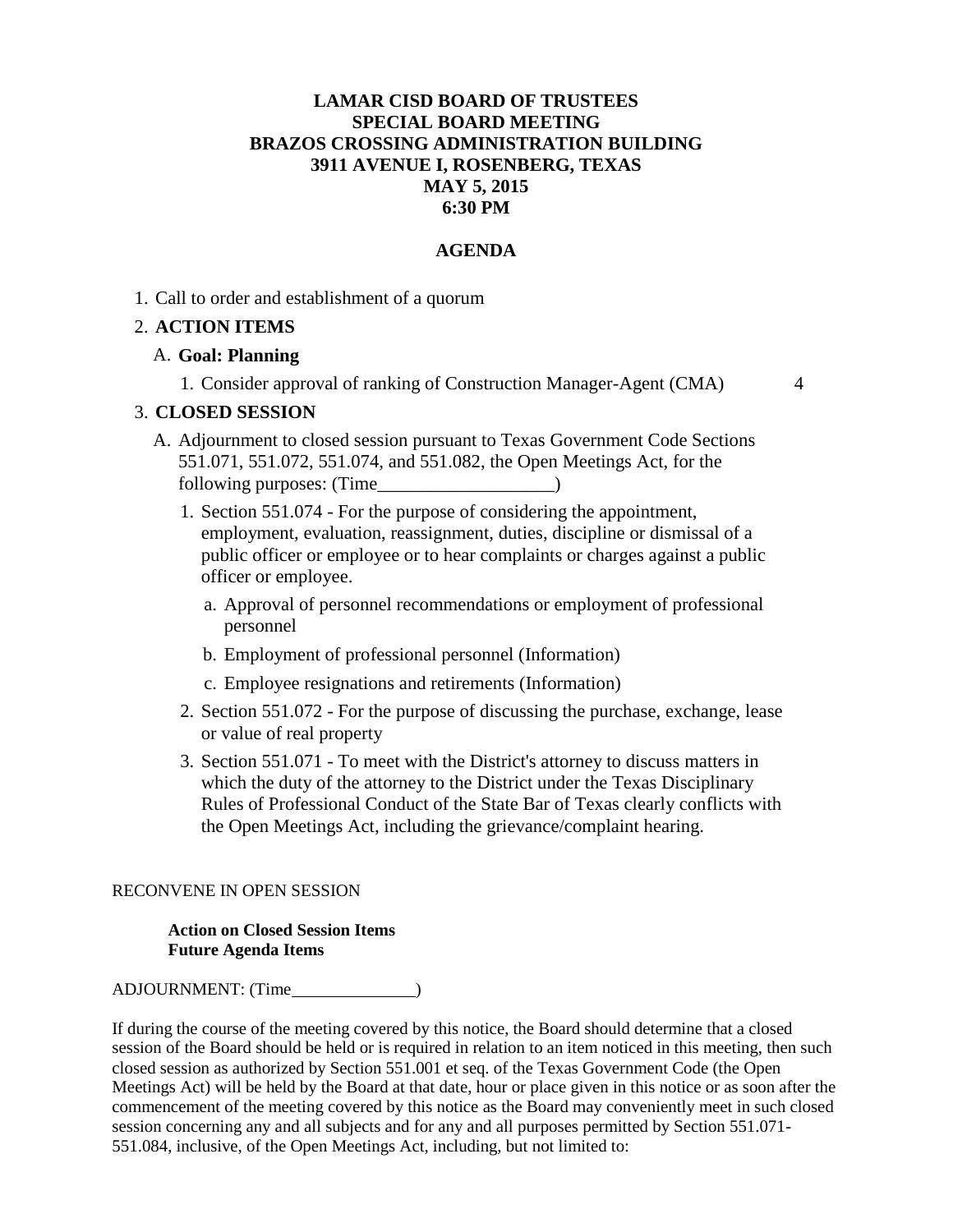#### **LAMAR CISD BOARD OF TRUSTEES SPECIAL BOARD MEETING BRAZOS CROSSING ADMINISTRATION BUILDING 3911 AVENUE I, ROSENBERG, TEXAS MAY 5, 2015 6:30 PM**

#### **AGENDA**

1. Call to order and establishment of a quorum

#### 2. **ACTION ITEMS**

#### A. **Goal: Planning**

1. Consider approval of ranking of Construction Manager-Agent (CMA) 4

#### 3. **CLOSED SESSION**

- A. Adjournment to closed session pursuant to Texas Government Code Sections 551.071, 551.072, 551.074, and 551.082, the Open Meetings Act, for the following purposes: (Time\_\_\_\_\_\_\_\_\_\_\_\_\_\_\_\_\_\_\_)
	- 1. Section 551.074 For the purpose of considering the appointment, employment, evaluation, reassignment, duties, discipline or dismissal of a public officer or employee or to hear complaints or charges against a public officer or employee.
		- a. Approval of personnel recommendations or employment of professional personnel
		- b. Employment of professional personnel (Information)
		- c. Employee resignations and retirements (Information)
	- 2. Section 551.072 For the purpose of discussing the purchase, exchange, lease or value of real property
	- 3. Section 551.071 To meet with the District's attorney to discuss matters in which the duty of the attorney to the District under the Texas Disciplinary Rules of Professional Conduct of the State Bar of Texas clearly conflicts with the Open Meetings Act, including the grievance/complaint hearing.

#### RECONVENE IN OPEN SESSION

#### **Action on Closed Session Items Future Agenda Items**

ADJOURNMENT: (Time

If during the course of the meeting covered by this notice, the Board should determine that a closed session of the Board should be held or is required in relation to an item noticed in this meeting, then such closed session as authorized by Section 551.001 et seq. of the Texas Government Code (the Open Meetings Act) will be held by the Board at that date, hour or place given in this notice or as soon after the commencement of the meeting covered by this notice as the Board may conveniently meet in such closed session concerning any and all subjects and for any and all purposes permitted by Section 551.071- 551.084, inclusive, of the Open Meetings Act, including, but not limited to: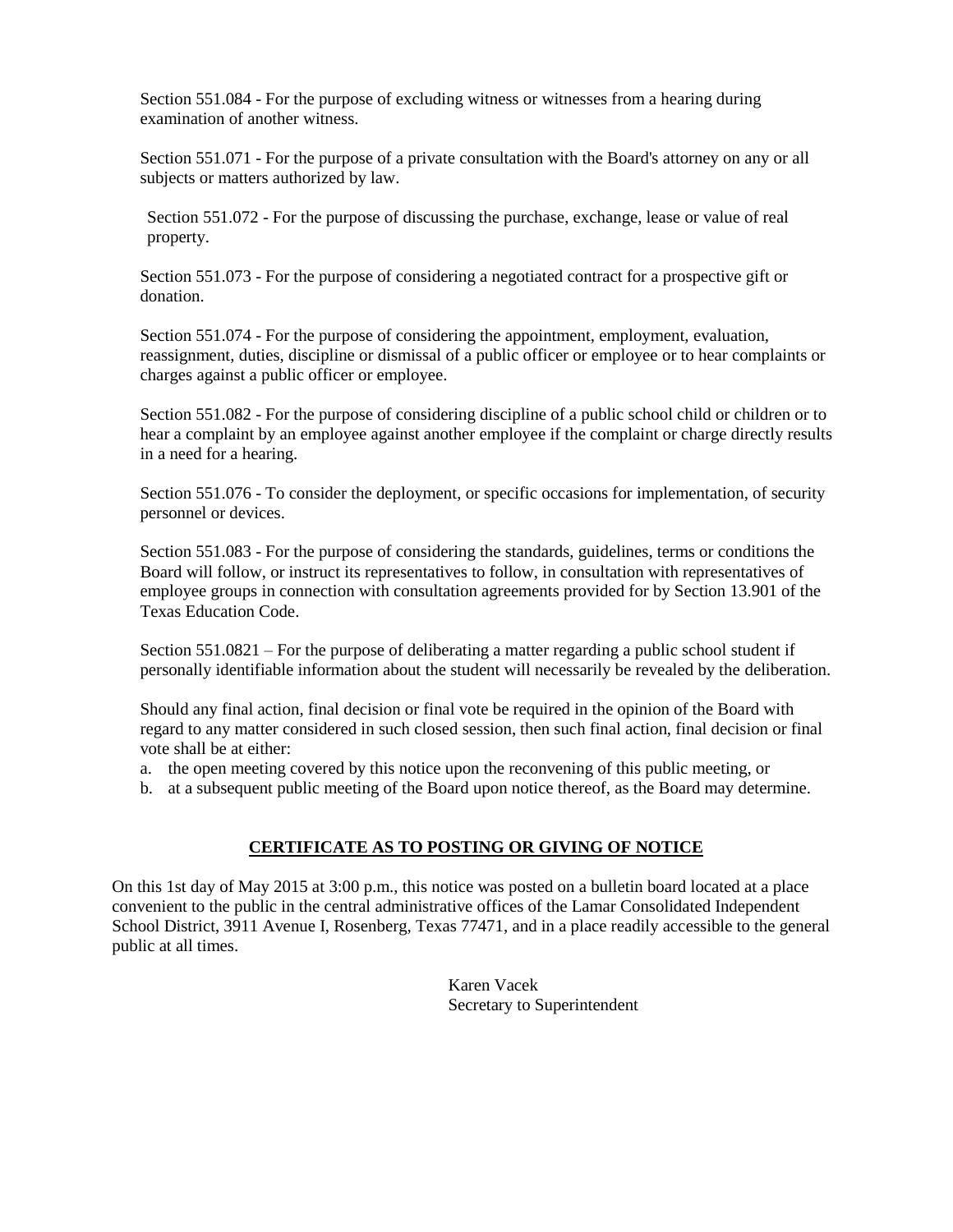Section 551.084 - For the purpose of excluding witness or witnesses from a hearing during examination of another witness.

Section 551.071 - For the purpose of a private consultation with the Board's attorney on any or all subjects or matters authorized by law.

Section 551.072 - For the purpose of discussing the purchase, exchange, lease or value of real property.

Section 551.073 - For the purpose of considering a negotiated contract for a prospective gift or donation.

Section 551.074 - For the purpose of considering the appointment, employment, evaluation, reassignment, duties, discipline or dismissal of a public officer or employee or to hear complaints or charges against a public officer or employee.

Section 551.082 - For the purpose of considering discipline of a public school child or children or to hear a complaint by an employee against another employee if the complaint or charge directly results in a need for a hearing.

Section 551.076 - To consider the deployment, or specific occasions for implementation, of security personnel or devices.

Section 551.083 - For the purpose of considering the standards, guidelines, terms or conditions the Board will follow, or instruct its representatives to follow, in consultation with representatives of employee groups in connection with consultation agreements provided for by Section 13.901 of the Texas Education Code.

Section 551.0821 – For the purpose of deliberating a matter regarding a public school student if personally identifiable information about the student will necessarily be revealed by the deliberation.

Should any final action, final decision or final vote be required in the opinion of the Board with regard to any matter considered in such closed session, then such final action, final decision or final vote shall be at either:

a. the open meeting covered by this notice upon the reconvening of this public meeting, or

b. at a subsequent public meeting of the Board upon notice thereof, as the Board may determine.

#### **CERTIFICATE AS TO POSTING OR GIVING OF NOTICE**

On this 1st day of May 2015 at 3:00 p.m., this notice was posted on a bulletin board located at a place convenient to the public in the central administrative offices of the Lamar Consolidated Independent School District, 3911 Avenue I, Rosenberg, Texas 77471, and in a place readily accessible to the general public at all times.

> Karen Vacek Secretary to Superintendent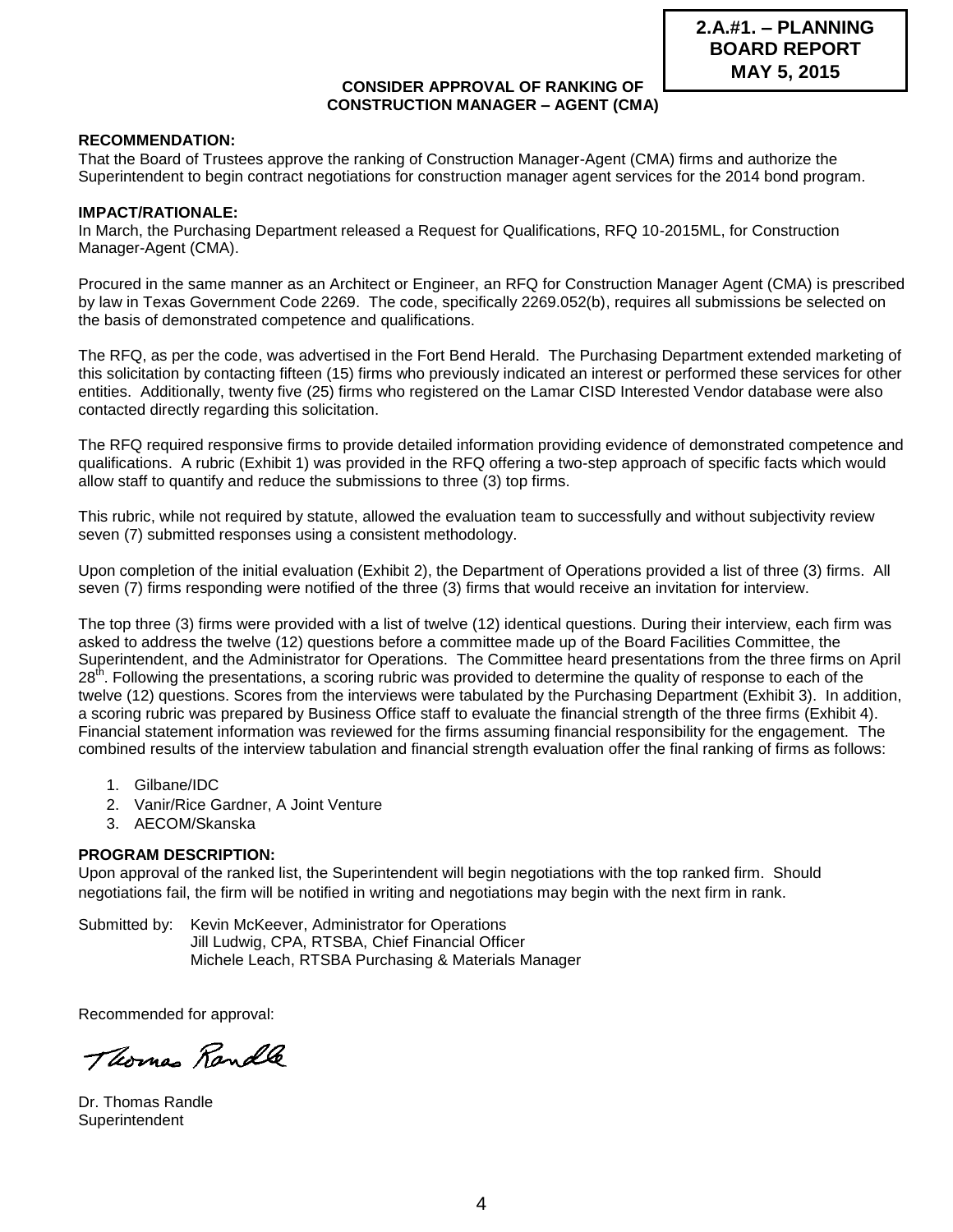#### **CONSIDER APPROVAL OF RANKING OF CONSTRUCTION MANAGER – AGENT (CMA)**

#### **RECOMMENDATION:**

That the Board of Trustees approve the ranking of Construction Manager-Agent (CMA) firms and authorize the Superintendent to begin contract negotiations for construction manager agent services for the 2014 bond program.

#### **IMPACT/RATIONALE:**

In March, the Purchasing Department released a Request for Qualifications, RFQ 10-2015ML, for Construction Manager-Agent (CMA).

Procured in the same manner as an Architect or Engineer, an RFQ for Construction Manager Agent (CMA) is prescribed by law in Texas Government Code 2269. The code, specifically 2269.052(b), requires all submissions be selected on the basis of demonstrated competence and qualifications.

The RFQ, as per the code, was advertised in the Fort Bend Herald. The Purchasing Department extended marketing of this solicitation by contacting fifteen (15) firms who previously indicated an interest or performed these services for other entities. Additionally, twenty five (25) firms who registered on the Lamar CISD Interested Vendor database were also contacted directly regarding this solicitation.

The RFQ required responsive firms to provide detailed information providing evidence of demonstrated competence and qualifications. A rubric (Exhibit 1) was provided in the RFQ offering a two-step approach of specific facts which would allow staff to quantify and reduce the submissions to three (3) top firms.

This rubric, while not required by statute, allowed the evaluation team to successfully and without subjectivity review seven (7) submitted responses using a consistent methodology.

Upon completion of the initial evaluation (Exhibit 2), the Department of Operations provided a list of three (3) firms. All seven (7) firms responding were notified of the three (3) firms that would receive an invitation for interview.

The top three (3) firms were provided with a list of twelve (12) identical questions. During their interview, each firm was asked to address the twelve (12) questions before a committee made up of the Board Facilities Committee, the Superintendent, and the Administrator for Operations. The Committee heard presentations from the three firms on April 28<sup>th</sup>. Following the presentations, a scoring rubric was provided to determine the quality of response to each of the twelve (12) questions. Scores from the interviews were tabulated by the Purchasing Department (Exhibit 3). In addition, a scoring rubric was prepared by Business Office staff to evaluate the financial strength of the three firms (Exhibit 4). Financial statement information was reviewed for the firms assuming financial responsibility for the engagement. The combined results of the interview tabulation and financial strength evaluation offer the final ranking of firms as follows:

- 1. Gilbane/IDC
- 2. Vanir/Rice Gardner, A Joint Venture
- 3. AECOM/Skanska

#### **PROGRAM DESCRIPTION:**

Upon approval of the ranked list, the Superintendent will begin negotiations with the top ranked firm. Should negotiations fail, the firm will be notified in writing and negotiations may begin with the next firm in rank.

Submitted by: Kevin McKeever, Administrator for Operations Jill Ludwig, CPA, RTSBA, Chief Financial Officer Michele Leach, RTSBA Purchasing & Materials Manager

Recommended for approval:

Thomas Randle

Dr. Thomas Randle **Superintendent**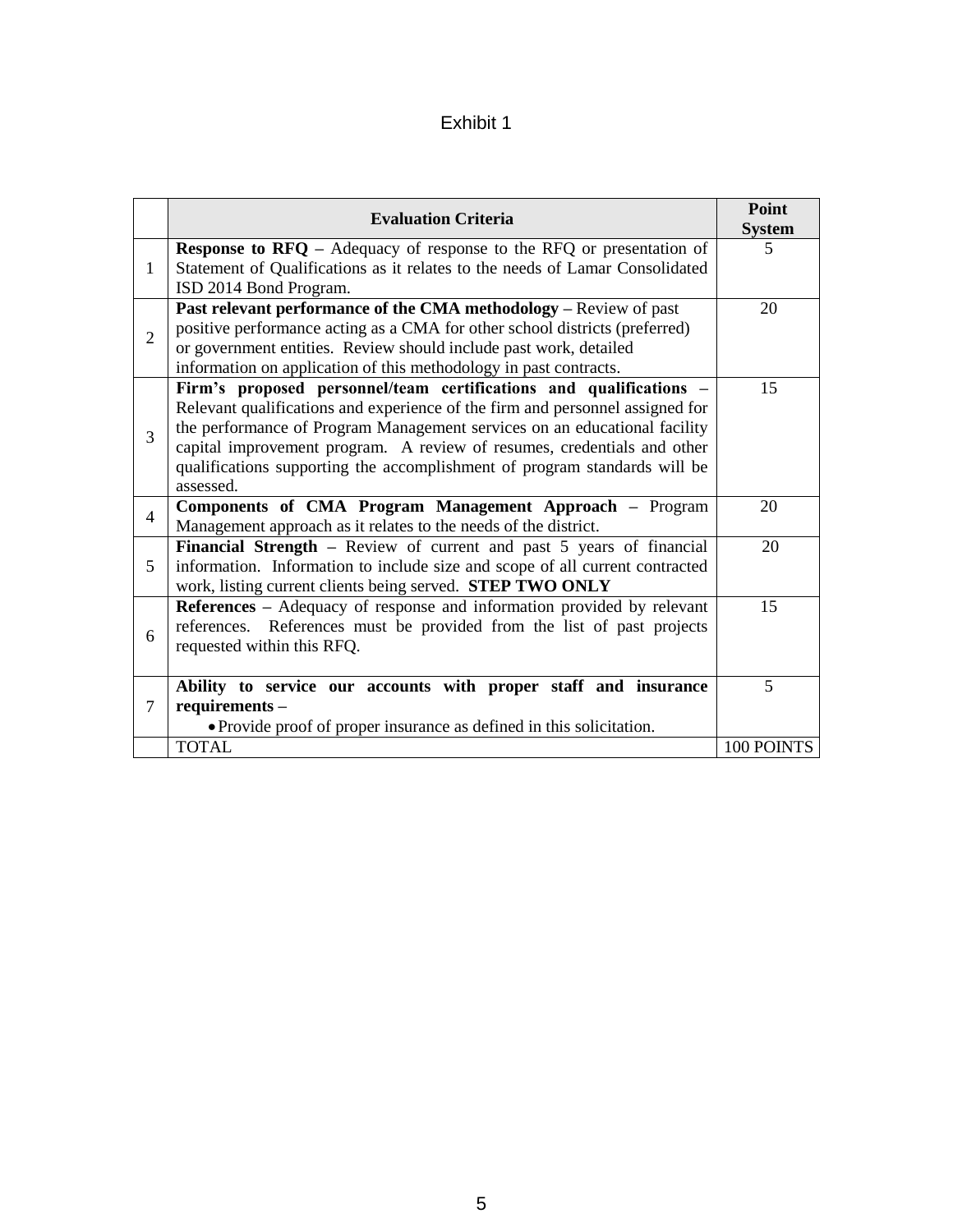### Exhibit 1

|                | <b>Evaluation Criteria</b>                                                                                                                                                                                                                                                                                                                                                                                                                                               | Point<br><b>System</b> |
|----------------|--------------------------------------------------------------------------------------------------------------------------------------------------------------------------------------------------------------------------------------------------------------------------------------------------------------------------------------------------------------------------------------------------------------------------------------------------------------------------|------------------------|
| $\mathbf{1}$   | <b>Response to <math>RFQ</math></b> – Adequacy of response to the $RFQ$ or presentation of<br>Statement of Qualifications as it relates to the needs of Lamar Consolidated                                                                                                                                                                                                                                                                                               | 5                      |
| $\overline{2}$ | ISD 2014 Bond Program.<br><b>Past relevant performance of the CMA methodology - Review of past</b><br>positive performance acting as a CMA for other school districts (preferred)<br>or government entities. Review should include past work, detailed                                                                                                                                                                                                                   | 20                     |
| 3              | information on application of this methodology in past contracts.<br>Firm's proposed personnel/team certifications and qualifications<br>Relevant qualifications and experience of the firm and personnel assigned for<br>the performance of Program Management services on an educational facility<br>capital improvement program. A review of resumes, credentials and other<br>qualifications supporting the accomplishment of program standards will be<br>assessed. | 15                     |
| $\overline{4}$ | Components of CMA Program Management Approach - Program<br>Management approach as it relates to the needs of the district.                                                                                                                                                                                                                                                                                                                                               | 20                     |
| 5              | Financial Strength – Review of current and past 5 years of financial<br>information. Information to include size and scope of all current contracted<br>work, listing current clients being served. STEP TWO ONLY                                                                                                                                                                                                                                                        | 20                     |
| 6              | References - Adequacy of response and information provided by relevant<br>references. References must be provided from the list of past projects<br>requested within this RFQ.                                                                                                                                                                                                                                                                                           | 15                     |
| $\tau$         | Ability to service our accounts with proper staff and insurance<br>requirements -                                                                                                                                                                                                                                                                                                                                                                                        | $\mathfrak{S}$         |
|                | • Provide proof of proper insurance as defined in this solicitation.<br><b>TOTAL</b>                                                                                                                                                                                                                                                                                                                                                                                     | 100 POINTS             |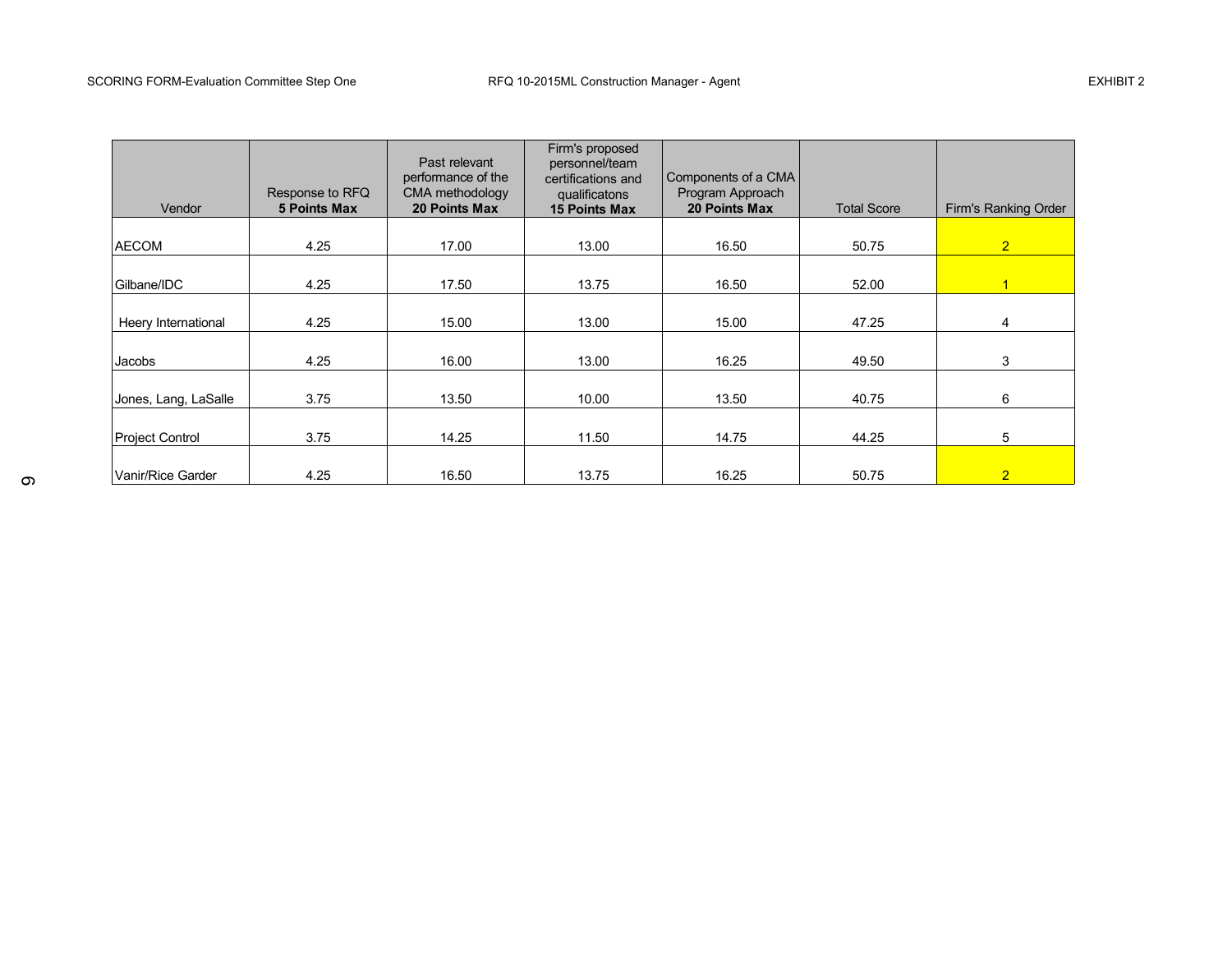#### SCORING FORM-Evaluation Committee Step One **RFQ 10-2015ML** Construction Manager - Agent **EXHIBIT 2** EXHIBIT 2

| Vendor                 | Response to RFQ<br><b>5 Points Max</b> | Past relevant<br>performance of the<br>CMA methodology<br><b>20 Points Max</b> | Firm's proposed<br>personnel/team<br>certifications and<br>qualificatons<br><b>15 Points Max</b> | Components of a CMA<br>Program Approach<br><b>20 Points Max</b> | <b>Total Score</b> | Firm's Ranking Order |
|------------------------|----------------------------------------|--------------------------------------------------------------------------------|--------------------------------------------------------------------------------------------------|-----------------------------------------------------------------|--------------------|----------------------|
|                        |                                        |                                                                                |                                                                                                  |                                                                 |                    |                      |
| <b>AECOM</b>           | 4.25                                   | 17.00                                                                          | 13.00                                                                                            | 16.50                                                           | 50.75              | $\overline{2}$       |
|                        |                                        |                                                                                |                                                                                                  |                                                                 |                    |                      |
| Gilbane/IDC            | 4.25                                   | 17.50                                                                          | 13.75                                                                                            | 16.50                                                           | 52.00              | $\mathbf{1}$         |
|                        |                                        |                                                                                |                                                                                                  |                                                                 |                    |                      |
| Heery International    | 4.25                                   | 15.00                                                                          | 13.00                                                                                            | 15.00                                                           | 47.25              | 4                    |
|                        |                                        |                                                                                |                                                                                                  |                                                                 |                    |                      |
| Jacobs                 | 4.25                                   | 16.00                                                                          | 13.00                                                                                            | 16.25                                                           | 49.50              | 3                    |
|                        |                                        |                                                                                |                                                                                                  |                                                                 |                    |                      |
| Jones, Lang, LaSalle   | 3.75                                   | 13.50                                                                          | 10.00                                                                                            | 13.50                                                           | 40.75              | 6                    |
|                        |                                        |                                                                                |                                                                                                  |                                                                 |                    |                      |
| <b>Project Control</b> | 3.75                                   | 14.25                                                                          | 11.50                                                                                            | 14.75                                                           | 44.25              | 5                    |
|                        |                                        |                                                                                |                                                                                                  |                                                                 |                    |                      |
| Vanir/Rice Garder      | 4.25                                   | 16.50                                                                          | 13.75                                                                                            | 16.25                                                           | 50.75              | $\overline{2}$       |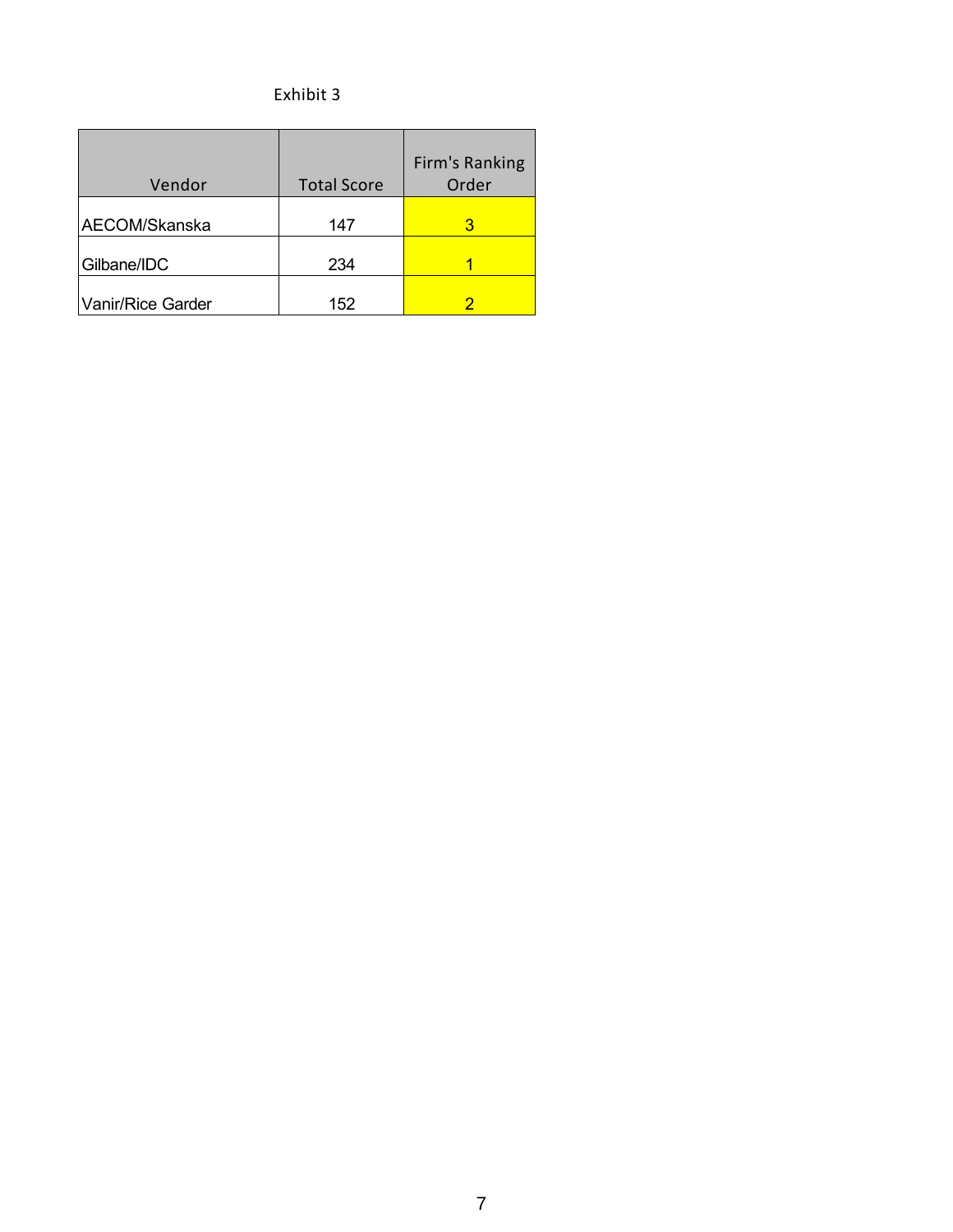### Exhibit 3

| Vendor            | <b>Total Score</b> | Firm's Ranking<br>Order |
|-------------------|--------------------|-------------------------|
| AECOM/Skanska     | 147                | З                       |
| Gilbane/IDC       | 234                |                         |
| Vanir/Rice Garder | 152                |                         |